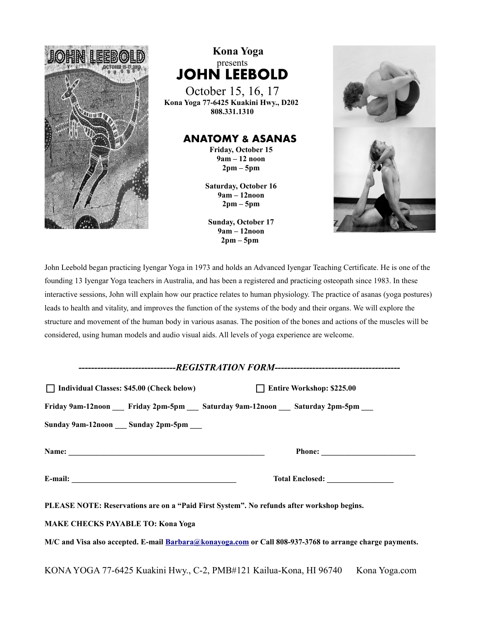

## **Kona Yoga** presents **JOHN LEEBOLD** October 15, 16, 17 **Kona Yoga 77-6425 Kuakini Hwy., D202 808.331.1310**

## **ANATOMY & ASANAS**

**Friday, October 15 9am – 12 noon 2pm – 5pm**

**Saturday, October 16 9am – 12noon 2pm – 5pm**

**Sunday, October 17 9am – 12noon 2pm – 5pm**



John Leebold began practicing Iyengar Yoga in 1973 and holds an Advanced Iyengar Teaching Certificate. He is one of the founding 13 Iyengar Yoga teachers in Australia, and has been a registered and practicing osteopath since 1983. In these interactive sessions, John will explain how our practice relates to human physiology. The practice of asanas (yoga postures) leads to health and vitality, and improves the function of the systems of the body and their organs. We will explore the structure and movement of the human body in various asanas. The position of the bones and actions of the muscles will be considered, using human models and audio visual aids. All levels of yoga experience are welcome.

| $\Box$ Individual Classes: \$45.00 (Check below) | Entire Workshop: \$225.00                                                                                |
|--------------------------------------------------|----------------------------------------------------------------------------------------------------------|
|                                                  | Friday 9am-12noon ____ Friday 2pm-5pm ____ Saturday 9am-12noon ____ Saturday 2pm-5pm ___                 |
| Sunday 9am-12noon __ Sunday 2pm-5pm __           |                                                                                                          |
|                                                  |                                                                                                          |
|                                                  |                                                                                                          |
|                                                  | PLEASE NOTE: Reservations are on a "Paid First System". No refunds after workshop begins.                |
| <b>MAKE CHECKS PAYABLE TO: Kona Yoga</b>         |                                                                                                          |
|                                                  | M/C and Visa also accepted. E-mail Barbara@konayoga.com or Call 808-937-3768 to arrange charge payments. |
|                                                  |                                                                                                          |

KONA YOGA 77-6425 Kuakini Hwy., C-2, PMB#121 Kailua-Kona, HI 96740 Kona Yoga.com